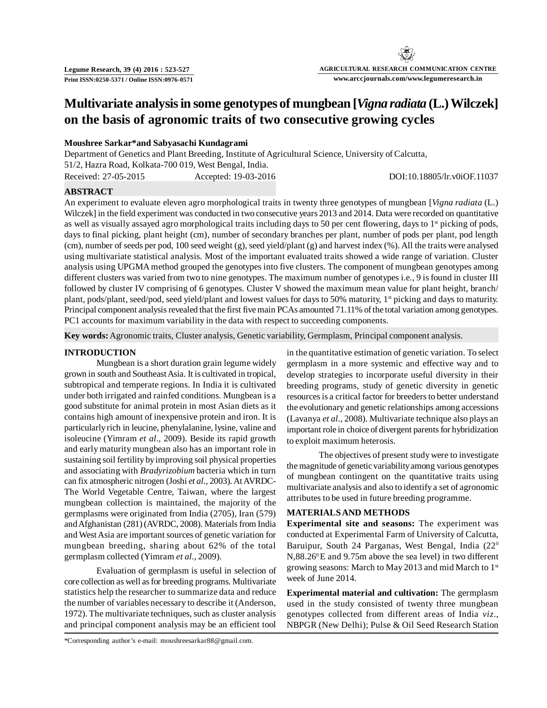# **Multivariate analysis in some genotypes of mungbean [***Vigna radiata* **(L.) Wilczek] on the basis of agronomic traits of two consecutive growing cycles**

# **Moushree Sarkar\*and Sabyasachi Kundagrami**

Department of Genetics and Plant Breeding, Institute of Agricultural Science, University of Calcutta, 51/2, Hazra Road, Kolkata-700 019, West Bengal, India. Received: 27-05-2015 Accepted: 19-03-2016 DOI:10.18805/lr.v0iOF.11037

## **ABSTRACT**

An experiment to evaluate eleven agro morphological traits in twenty three genotypes of mungbean [*Vigna radiata* (L.) Wilczek] in the field experiment was conducted in two consecutive years 2013 and 2014. Data were recorded on quantitative as well as visually assayed agro morphological traits including days to 50 per cent flowering, days to  $1<sup>st</sup>$  picking of pods, days to final picking, plant height (cm), number of secondary branches per plant, number of pods per plant, pod length (cm), number of seeds per pod, 100 seed weight (g), seed yield/plant (g) and harvest index (%). All the traits were analysed using multivariate statistical analysis. Most of the important evaluated traits showed a wide range of variation. Cluster analysis using UPGMA method grouped the genotypes into five clusters. The component of mungbean genotypes among different clusters was varied from two to nine genotypes. The maximum number of genotypes i.e., 9 is found in cluster III followed by cluster IV comprising of 6 genotypes. Cluster V showed the maximum mean value for plant height, branch/ plant, pods/plant, seed/pod, seed yield/plant and lowest values for days to 50% maturity, 1<sup>st</sup> picking and days to maturity. Principal component analysis revealed that the first five main PCAs amounted 71.11% of the total variation among genotypes. PC1 accounts for maximum variability in the data with respect to succeeding components.

**Key words:** Agronomic traits, Cluster analysis, Genetic variability, Germplasm, Principal component analysis.

### **INTRODUCTION**

Mungbean is a short duration grain legume widely grown in south and Southeast Asia. It is cultivated in tropical, subtropical and temperate regions. In India it is cultivated under both irrigated and rainfed conditions. Mungbean is a good substitute for animal protein in most Asian diets as it contains high amount of inexpensive protein and iron. It is particularly rich in leucine, phenylalanine, lysine, valine and isoleucine (Yimram *et al*., 2009). Beside its rapid growth and early maturity mungbean also has an important role in sustaining soil fertility by improving soil physical properties and associating with *Bradyrizobium* bacteria which in turn can fix atmospheric nitrogen (Joshi *et al*., 2003). At AVRDC-The World Vegetable Centre, Taiwan, where the largest mungbean collection is maintained, the majority of the germplasms were originated from India (2705), Iran (579) and Afghanistan (281) (AVRDC, 2008). Materials from India and West Asia are important sources of genetic variation for mungbean breeding, sharing about 62% of the total germplasm collected (Yimram *et al*., 2009).

Evaluation of germplasm is useful in selection of core collection as well as for breeding programs. Multivariate statistics help the researcher to summarize data and reduce the number of variables necessary to describe it (Anderson, 1972). The multivariate techniques, such as cluster analysis and principal component analysis may be an efficient tool

in the quantitative estimation of genetic variation. To select germplasm in a more systemic and effective way and to develop strategies to incorporate useful diversity in their breeding programs, study of genetic diversity in genetic resources is a critical factor for breeders to better understand the evolutionary and genetic relationships among accessions (Lavanya *et al*., 2008). Multivariate technique also plays an important role in choice of divergent parents for hybridization to exploit maximum heterosis.

The objectives of present study were to investigate the magnitude of genetic variability among various genotypes of mungbean contingent on the quantitative traits using multivariate analysis and also to identify a set of agronomic attributes to be used in future breeding programme.

#### **MATERIALS AND METHODS**

**Experimental site and seasons:** The experiment was conducted at Experimental Farm of University of Calcutta, Baruipur, South 24 Parganas, West Bengal, India (22<sup>0</sup>  $N,88.26^{\circ}$ E and 9.75m above the sea level) in two different growing seasons: March to May 2013 and mid March to 1st week of June 2014.

**Experimental material and cultivation:** The germplasm used in the study consisted of twenty three mungbean genotypes collected from different areas of India *viz*., NBPGR (New Delhi); Pulse & Oil Seed Research Station

\*Corresponding author's e-mail: moushreesarkar88@gmail.com.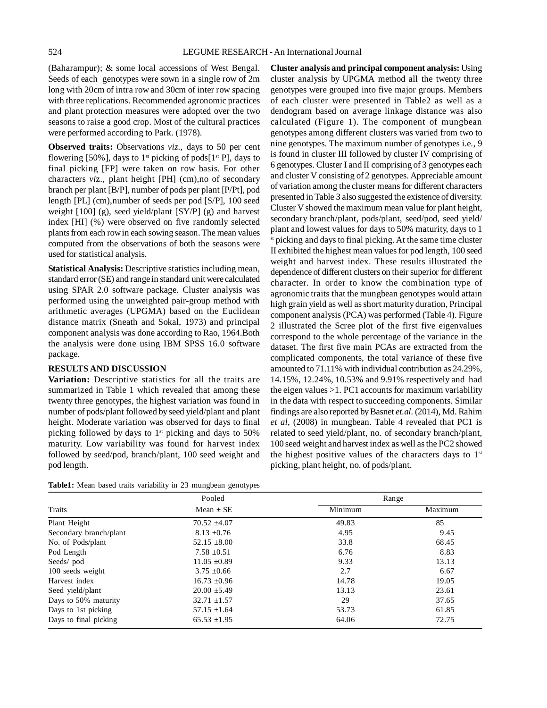(Baharampur); & some local accessions of West Bengal. Seeds of each genotypes were sown in a single row of 2m long with 20cm of intra row and 30cm of inter row spacing with three replications. Recommended agronomic practices and plant protection measures were adopted over the two seasons to raise a good crop. Most of the cultural practices were performed according to Park. (1978).

**Observed traits:** Observations *viz*., days to 50 per cent flowering [50%], days to 1<sup>st</sup> picking of pods[1<sup>st</sup> P], days to final picking [FP] were taken on row basis. For other characters *vi*z., plant height [PH] (cm),no of secondary branch per plant [B/P], number of pods per plant [P/Pt], pod length [PL] (cm),number of seeds per pod [S/P], 100 seed weight [100] (g), seed yield/plant [SY/P] (g) and harvest index [HI] (%) were observed on five randomly selected plants from each row in each sowing season. The mean values computed from the observations of both the seasons were used for statistical analysis.

**Statistical Analysis:** Descriptive statistics including mean, standard error (SE) and range in standard unit were calculated using SPAR 2.0 software package. Cluster analysis was performed using the unweighted pair-group method with arithmetic averages (UPGMA) based on the Euclidean distance matrix (Sneath and Sokal, 1973) and principal component analysis was done according to Rao, 1964.Both the analysis were done using IBM SPSS 16.0 software package.

# **RESULTS AND DISCUSSION**

**Variation:** Descriptive statistics for all the traits are summarized in Table 1 which revealed that among these twenty three genotypes, the highest variation was found in number of pods/plant followed by seed yield/plant and plant height. Moderate variation was observed for days to final picking followed by days to  $1<sup>st</sup>$  picking and days to 50% maturity. Low variability was found for harvest index followed by seed/pod, branch/plant, 100 seed weight and pod length.

**Cluster analysis and principal component analysis:** Using cluster analysis by UPGMA method all the twenty three genotypes were grouped into five major groups. Members of each cluster were presented in Table2 as well as a dendogram based on average linkage distance was also calculated (Figure 1). The component of mungbean genotypes among different clusters was varied from two to nine genotypes. The maximum number of genotypes i.e., 9 is found in cluster III followed by cluster IV comprising of 6 genotypes. Cluster I and II comprising of 3 genotypes each and cluster V consisting of 2 genotypes. Appreciable amount of variation among the cluster means for different characters presented in Table 3 also suggested the existence of diversity. Cluster V showed the maximum mean value for plant height, secondary branch/plant, pods/plant, seed/pod, seed yield/ plant and lowest values for days to 50% maturity, days to 1 st picking and days to final picking. At the same time cluster II exhibited the highest mean values for pod length, 100 seed weight and harvest index. These results illustrated the dependence of different clusters on their superior for different character. In order to know the combination type of agronomic traits that the mungbean genotypes would attain high grain yield as well as short maturity duration, Principal component analysis (PCA) was performed (Table 4). Figure 2 illustrated the Scree plot of the first five eigenvalues correspond to the whole percentage of the variance in the dataset. The first five main PCAs are extracted from the complicated components, the total variance of these five amounted to 71.11% with individual contribution as 24.29%, 14.15%, 12.24%, 10.53% and 9.91% respectively and had the eigen values >1. PC1 accounts for maximum variability in the data with respect to succeeding components. Similar findings are also reported by Basnet *et.al.* (2014), Md. Rahim *et al*, (2008) in mungbean. Table 4 revealed that PC1 is related to seed yield/plant, no. of secondary branch/plant, 100 seed weight and harvest index as well as the PC2 showed the highest positive values of the characters days to  $1<sup>st</sup>$ picking, plant height, no. of pods/plant.

| Table1: Mean based traits variability in 23 mungbean genotypes |  |  |  |  |
|----------------------------------------------------------------|--|--|--|--|
|                                                                |  |  |  |  |

|                        | Pooled           | Range   |         |
|------------------------|------------------|---------|---------|
| Traits                 | Mean $\pm$ SE    | Minimum | Maximum |
| Plant Height           | $70.52 \pm 4.07$ | 49.83   | 85      |
| Secondary branch/plant | $8.13 \pm 0.76$  | 4.95    | 9.45    |
| No. of Pods/plant      | $52.15 \pm 8.00$ | 33.8    | 68.45   |
| Pod Length             | $7.58 \pm 0.51$  | 6.76    | 8.83    |
| Seeds/pod              | $11.05 \pm 0.89$ | 9.33    | 13.13   |
| 100 seeds weight       | $3.75 \pm 0.66$  | 2.7     | 6.67    |
| Harvest index          | $16.73 \pm 0.96$ | 14.78   | 19.05   |
| Seed yield/plant       | $20.00 \pm 5.49$ | 13.13   | 23.61   |
| Days to 50% maturity   | $32.71 \pm 1.57$ | 29      | 37.65   |
| Days to 1st picking    | $57.15 \pm 1.64$ | 53.73   | 61.85   |
| Days to final picking  | $65.53 \pm 1.95$ | 64.06   | 72.75   |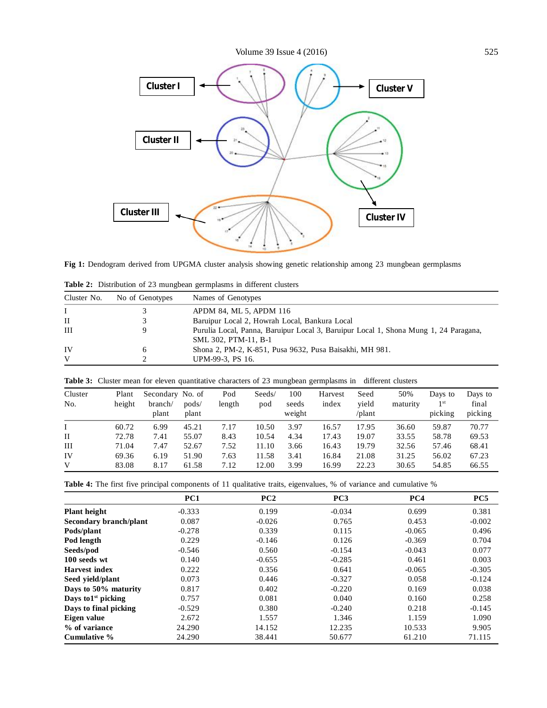

**Fig 1:** Dendogram derived from UPGMA cluster analysis showing genetic relationship among 23 mungbean germplasms

| Cluster No. | No of Genotypes | Names of Genotypes                                                                                           |
|-------------|-----------------|--------------------------------------------------------------------------------------------------------------|
|             |                 | APDM 84, ML 5, APDM 116                                                                                      |
| $\rm II$    |                 | Baruipur Local 2, Howrah Local, Bankura Local                                                                |
| III         |                 | Purulia Local, Panna, Baruipur Local 3, Baruipur Local 1, Shona Mung 1, 24 Paragana,<br>SML 302, PTM-11, B-1 |
| IV          | <sub>0</sub>    | Shona 2, PM-2, K-851, Pusa 9632, Pusa Baisakhi, MH 981.                                                      |
| V           |                 | UPM-99-3, PS 16.                                                                                             |

**Table 2:** Distribution of 23 mungbean germplasms in different clusters

| Cluster<br>No. | Plant<br>height | Secondary No. of<br>branch/<br>plant | pods/<br>plant | Pod<br>length | Seeds/<br>pod | 100<br>seeds<br>weight | Harvest<br>index | Seed<br>yield<br>/plant | 50%<br>maturity | Days to<br>1 <sup>st</sup><br>picking | Days to<br>final<br>picking |
|----------------|-----------------|--------------------------------------|----------------|---------------|---------------|------------------------|------------------|-------------------------|-----------------|---------------------------------------|-----------------------------|
|                | 60.72           | 6.99                                 | 45.21          | 7.17          | 10.50         | 3.97                   | 16.57            | 17.95                   | 36.60           | 59.87                                 | 70.77                       |
| $\rm II$       | 72.78           | 7.41                                 | 55.07          | 8.43          | 10.54         | 4.34                   | 17.43            | 19.07                   | 33.55           | 58.78                                 | 69.53                       |
| III            | 71.04           | 7.47                                 | 52.67          | 7.52          | 11.10         | 3.66                   | 16.43            | 19.79                   | 32.56           | 57.46                                 | 68.41                       |
| IV             | 69.36           | 6.19                                 | 51.90          | 7.63          | 11.58         | 3.41                   | 16.84            | 21.08                   | 31.25           | 56.02                                 | 67.23                       |
| V              | 83.08           | 8.17                                 | 61.58          | 7.12          | 12.00         | 3.99                   | 16.99            | 22.23                   | 30.65           | 54.85                                 | 66.55                       |

Table 3: Cluster mean for eleven quantitative characters of 23 mungbean germplasms in different clusters

Table 4: The first five principal components of 11 qualitative traits, eigenvalues, % of variance and cumulative %

|                                | PC1      | PC2      | PC <sub>3</sub> | PC <sub>4</sub> | PC <sub>5</sub> |
|--------------------------------|----------|----------|-----------------|-----------------|-----------------|
| <b>Plant height</b>            | $-0.333$ | 0.199    | $-0.034$        | 0.699           | 0.381           |
| Secondary branch/plant         | 0.087    | $-0.026$ | 0.765           | 0.453           | $-0.002$        |
| Pods/plant                     | $-0.278$ | 0.339    | 0.115           | $-0.065$        | 0.496           |
| Pod length                     | 0.229    | $-0.146$ | 0.126           | $-0.369$        | 0.704           |
| Seeds/pod                      | $-0.546$ | 0.560    | $-0.154$        | $-0.043$        | 0.077           |
| 100 seeds wt                   | 0.140    | $-0.655$ | $-0.285$        | 0.461           | 0.003           |
| <b>Harvest</b> index           | 0.222    | 0.356    | 0.641           | $-0.065$        | $-0.305$        |
| Seed vield/plant               | 0.073    | 0.446    | $-0.327$        | 0.058           | $-0.124$        |
| Days to 50% maturity           | 0.817    | 0.402    | $-0.220$        | 0.169           | 0.038           |
| Days to1 <sup>st</sup> picking | 0.757    | 0.081    | 0.040           | 0.160           | 0.258           |
| Days to final picking          | $-0.529$ | 0.380    | $-0.240$        | 0.218           | $-0.145$        |
| Eigen value                    | 2.672    | 1.557    | 1.346           | 1.159           | 1.090           |
| % of variance                  | 24.290   | 14.152   | 12.235          | 10.533          | 9.905           |
| Cumulative %                   | 24.290   | 38.441   | 50.677          | 61.210          | 71.115          |
|                                |          |          |                 |                 |                 |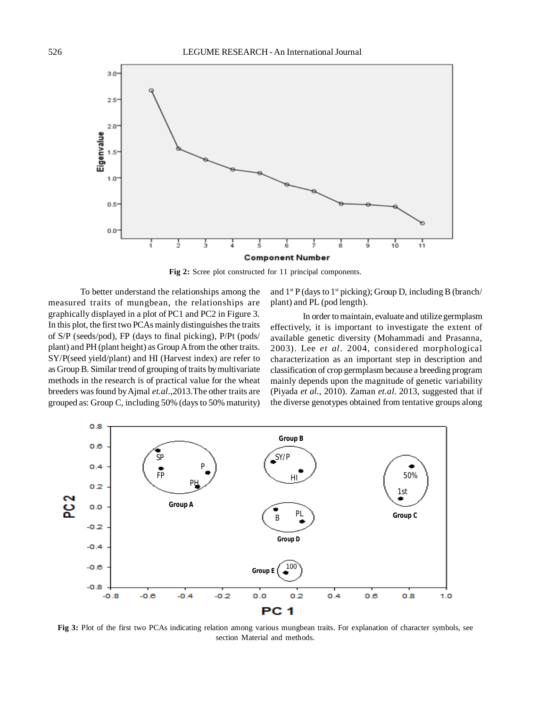

**Fig 2:** Scree plot constructed for 11 principal components.

To better understand the relationships among the measured traits of mungbean, the relationships are graphically displayed in a plot of PC1 and PC2 in Figure 3. In this plot, the first two PCAs mainly distinguishes the traits of S/P (seeds/pod), FP (days to final picking), P/Pt (pods/ plant) and PH (plant height) as Group A from the other traits. SY/P(seed yield/plant) and HI (Harvest index) are refer to as Group B. Similar trend of grouping of traits by multivariate methods in the research is of practical value for the wheat breeders was found by Ajmal *et.al*.,2013.The other traits are grouped as: Group C, including 50% (days to 50% maturity) and  $1^{st}$  P (days to  $1^{st}$  picking); Group D, including B (branch/ plant) and PL (pod length).

In order to maintain, evaluate and utilize germplasm effectively, it is important to investigate the extent of available genetic diversity (Mohammadi and Prasanna, 2003). Lee *et al*. 2004, considered morphological characterization as an important step in description and classification of crop germplasm because a breeding program mainly depends upon the magnitude of genetic variability (Piyada *et al*., 2010). Zaman *et.al.* 2013, suggested that if the diverse genotypes obtained from tentative groups along



**Fig 3:** Plot of the first two PCAs indicating relation among various mungbean traits. For explanation of character symbols, see section Material and methods.